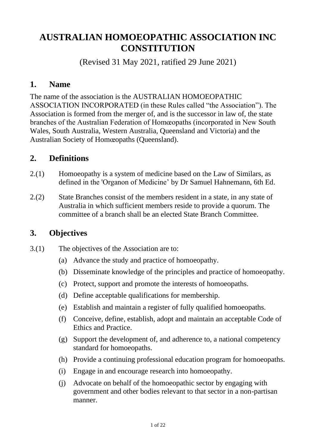# **AUSTRALIAN HOMOEOPATHIC ASSOCIATION INC CONSTITUTION**

(Revised 31 May 2021, ratified 29 June 2021)

#### **1. Name**

The name of the association is the AUSTRALIAN HOMOEOPATHIC ASSOCIATION INCORPORATED (in these Rules called "the Association"). The Association is formed from the merger of, and is the successor in law of, the state branches of the Australian Federation of Homœopaths (incorporated in New South Wales, South Australia, Western Australia, Queensland and Victoria) and the Australian Society of Homœopaths (Queensland).

#### **2. Definitions**

- 2.(1) Homoeopathy is a system of medicine based on the Law of Similars, as defined in the 'Organon of Medicine' by Dr Samuel Hahnemann, 6th Ed.
- 2.(2) State Branches consist of the members resident in a state, in any state of Australia in which sufficient members reside to provide a quorum. The committee of a branch shall be an elected State Branch Committee.

## **3. Objectives**

- 3.(1) The objectives of the Association are to:
	- (a) Advance the study and practice of homoeopathy.
	- (b) Disseminate knowledge of the principles and practice of homoeopathy.
	- (c) Protect, support and promote the interests of homoeopaths.
	- (d) Define acceptable qualifications for membership.
	- (e) Establish and maintain a register of fully qualified homoeopaths.
	- (f) Conceive, define, establish, adopt and maintain an acceptable Code of Ethics and Practice.
	- (g) Support the development of, and adherence to, a national competency standard for homoeopaths.
	- (h) Provide a continuing professional education program for homoeopaths.
	- (i) Engage in and encourage research into homoeopathy.
	- (j) Advocate on behalf of the homoeopathic sector by engaging with government and other bodies relevant to that sector in a non-partisan manner.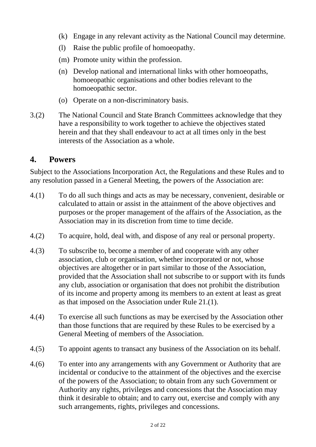- (k) Engage in any relevant activity as the National Council may determine.
- (l) Raise the public profile of homoeopathy.
- (m) Promote unity within the profession.
- (n) Develop national and international links with other homoeopaths, homoeopathic organisations and other bodies relevant to the homoeopathic sector.
- (o) Operate on a non-discriminatory basis.
- 3.(2) The National Council and State Branch Committees acknowledge that they have a responsibility to work together to achieve the objectives stated herein and that they shall endeavour to act at all times only in the best interests of the Association as a whole.

#### **4. Powers**

Subject to the Associations Incorporation Act, the Regulations and these Rules and to any resolution passed in a General Meeting, the powers of the Association are:

- 4.(1) To do all such things and acts as may be necessary, convenient, desirable or calculated to attain or assist in the attainment of the above objectives and purposes or the proper management of the affairs of the Association, as the Association may in its discretion from time to time decide.
- 4.(2) To acquire, hold, deal with, and dispose of any real or personal property.
- 4.(3) To subscribe to, become a member of and cooperate with any other association, club or organisation, whether incorporated or not, whose objectives are altogether or in part similar to those of the Association, provided that the Association shall not subscribe to or support with its funds any club, association or organisation that does not prohibit the distribution of its income and property among its members to an extent at least as great as that imposed on the Association under Rule 21.(1).
- 4.(4) To exercise all such functions as may be exercised by the Association other than those functions that are required by these Rules to be exercised by a General Meeting of members of the Association.
- 4.(5) To appoint agents to transact any business of the Association on its behalf.
- 4.(6) To enter into any arrangements with any Government or Authority that are incidental or conducive to the attainment of the objectives and the exercise of the powers of the Association; to obtain from any such Government or Authority any rights, privileges and concessions that the Association may think it desirable to obtain; and to carry out, exercise and comply with any such arrangements, rights, privileges and concessions.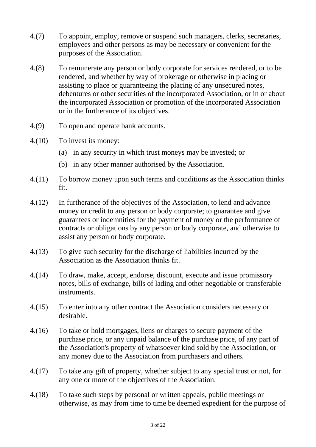- 4.(7) To appoint, employ, remove or suspend such managers, clerks, secretaries, employees and other persons as may be necessary or convenient for the purposes of the Association.
- 4.(8) To remunerate any person or body corporate for services rendered, or to be rendered, and whether by way of brokerage or otherwise in placing or assisting to place or guaranteeing the placing of any unsecured notes, debentures or other securities of the incorporated Association, or in or about the incorporated Association or promotion of the incorporated Association or in the furtherance of its objectives.
- 4.(9) To open and operate bank accounts.
- 4.(10) To invest its money:
	- (a) in any security in which trust moneys may be invested; or
	- (b) in any other manner authorised by the Association.
- 4.(11) To borrow money upon such terms and conditions as the Association thinks fit.
- 4.(12) In furtherance of the objectives of the Association, to lend and advance money or credit to any person or body corporate; to guarantee and give guarantees or indemnities for the payment of money or the performance of contracts or obligations by any person or body corporate, and otherwise to assist any person or body corporate.
- 4.(13) To give such security for the discharge of liabilities incurred by the Association as the Association thinks fit.
- 4.(14) To draw, make, accept, endorse, discount, execute and issue promissory notes, bills of exchange, bills of lading and other negotiable or transferable instruments.
- 4.(15) To enter into any other contract the Association considers necessary or desirable.
- 4.(16) To take or hold mortgages, liens or charges to secure payment of the purchase price, or any unpaid balance of the purchase price, of any part of the Association's property of whatsoever kind sold by the Association, or any money due to the Association from purchasers and others.
- 4.(17) To take any gift of property, whether subject to any special trust or not, for any one or more of the objectives of the Association.
- 4.(18) To take such steps by personal or written appeals, public meetings or otherwise, as may from time to time be deemed expedient for the purpose of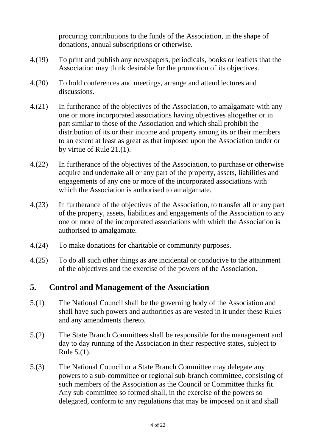procuring contributions to the funds of the Association, in the shape of donations, annual subscriptions or otherwise.

- 4.(19) To print and publish any newspapers, periodicals, books or leaflets that the Association may think desirable for the promotion of its objectives.
- 4.(20) To hold conferences and meetings, arrange and attend lectures and discussions.
- 4.(21) In furtherance of the objectives of the Association, to amalgamate with any one or more incorporated associations having objectives altogether or in part similar to those of the Association and which shall prohibit the distribution of its or their income and property among its or their members to an extent at least as great as that imposed upon the Association under or by virtue of Rule 21.(1).
- 4.(22) In furtherance of the objectives of the Association, to purchase or otherwise acquire and undertake all or any part of the property, assets, liabilities and engagements of any one or more of the incorporated associations with which the Association is authorised to amalgamate.
- 4.(23) In furtherance of the objectives of the Association, to transfer all or any part of the property, assets, liabilities and engagements of the Association to any one or more of the incorporated associations with which the Association is authorised to amalgamate.
- 4.(24) To make donations for charitable or community purposes.
- 4.(25) To do all such other things as are incidental or conducive to the attainment of the objectives and the exercise of the powers of the Association.

## **5. Control and Management of the Association**

- 5.(1) The National Council shall be the governing body of the Association and shall have such powers and authorities as are vested in it under these Rules and any amendments thereto.
- 5.(2) The State Branch Committees shall be responsible for the management and day to day running of the Association in their respective states, subject to Rule 5.(1).
- 5.(3) The National Council or a State Branch Committee may delegate any powers to a sub-committee or regional sub-branch committee, consisting of such members of the Association as the Council or Committee thinks fit. Any sub-committee so formed shall, in the exercise of the powers so delegated, conform to any regulations that may be imposed on it and shall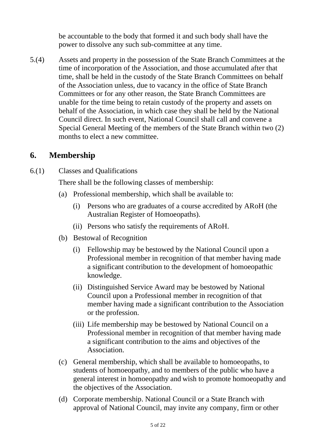be accountable to the body that formed it and such body shall have the power to dissolve any such sub-committee at any time.

5.(4) Assets and property in the possession of the State Branch Committees at the time of incorporation of the Association, and those accumulated after that time, shall be held in the custody of the State Branch Committees on behalf of the Association unless, due to vacancy in the office of State Branch Committees or for any other reason, the State Branch Committees are unable for the time being to retain custody of the property and assets on behalf of the Association, in which case they shall be held by the National Council direct. In such event, National Council shall call and convene a Special General Meeting of the members of the State Branch within two (2) months to elect a new committee.

# **6. Membership**

6.(1) Classes and Qualifications

There shall be the following classes of membership:

- (a) Professional membership, which shall be available to:
	- (i) Persons who are graduates of a course accredited by ARoH (the Australian Register of Homoeopaths).
	- (ii) Persons who satisfy the requirements of ARoH.
- (b) Bestowal of Recognition
	- (i) Fellowship may be bestowed by the National Council upon a Professional member in recognition of that member having made a significant contribution to the development of homoeopathic knowledge.
	- (ii) Distinguished Service Award may be bestowed by National Council upon a Professional member in recognition of that member having made a significant contribution to the Association or the profession.
	- (iii) Life membership may be bestowed by National Council on a Professional member in recognition of that member having made a significant contribution to the aims and objectives of the Association.
- (c) General membership, which shall be available to homoeopaths, to students of homoeopathy, and to members of the public who have a general interest in homoeopathy and wish to promote homoeopathy and the objectives of the Association.
- (d) Corporate membership. National Council or a State Branch with approval of National Council, may invite any company, firm or other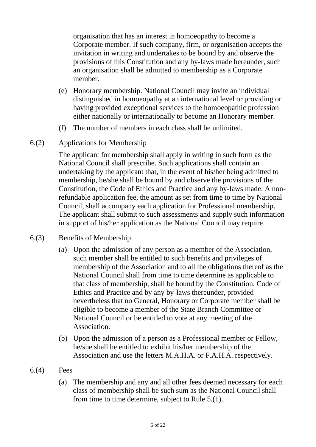organisation that has an interest in homoeopathy to become a Corporate member. If such company, firm, or organisation accepts the invitation in writing and undertakes to be bound by and observe the provisions of this Constitution and any by-laws made hereunder, such an organisation shall be admitted to membership as a Corporate member.

- (e) Honorary membership. National Council may invite an individual distinguished in homoeopathy at an international level or providing or having provided exceptional services to the homoeopathic profession either nationally or internationally to become an Honorary member.
- (f) The number of members in each class shall be unlimited.
- 6.(2) Applications for Membership

The applicant for membership shall apply in writing in such form as the National Council shall prescribe. Such applications shall contain an undertaking by the applicant that, in the event of his/her being admitted to membership, he/she shall be bound by and observe the provisions of the Constitution, the Code of Ethics and Practice and any by-laws made. A nonrefundable application fee, the amount as set from time to time by National Council, shall accompany each application for Professional membership. The applicant shall submit to such assessments and supply such information in support of his/her application as the National Council may require.

- 6.(3) Benefits of Membership
	- (a) Upon the admission of any person as a member of the Association, such member shall be entitled to such benefits and privileges of membership of the Association and to all the obligations thereof as the National Council shall from time to time determine as applicable to that class of membership, shall be bound by the Constitution, Code of Ethics and Practice and by any by-laws thereunder, provided nevertheless that no General, Honorary or Corporate member shall be eligible to become a member of the State Branch Committee or National Council or be entitled to vote at any meeting of the Association.
	- (b) Upon the admission of a person as a Professional member or Fellow, he/she shall be entitled to exhibit his/her membership of the Association and use the letters M.A.H.A. or F.A.H.A. respectively.
- 6.(4) Fees
	- (a) The membership and any and all other fees deemed necessary for each class of membership shall be such sum as the National Council shall from time to time determine, subject to Rule 5.(1).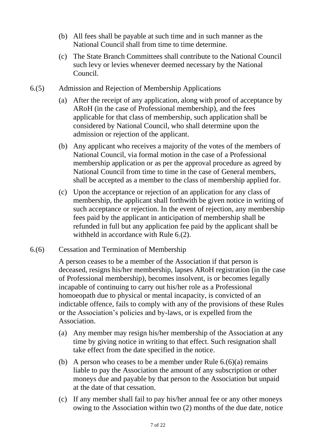- (b) All fees shall be payable at such time and in such manner as the National Council shall from time to time determine.
- (c) The State Branch Committees shall contribute to the National Council such levy or levies whenever deemed necessary by the National Council.
- 6.(5) Admission and Rejection of Membership Applications
	- (a) After the receipt of any application, along with proof of acceptance by ARoH (in the case of Professional membership), and the fees applicable for that class of membership, such application shall be considered by National Council, who shall determine upon the admission or rejection of the applicant.
	- (b) Any applicant who receives a majority of the votes of the members of National Council, via formal motion in the case of a Professional membership application or as per the approval procedure as agreed by National Council from time to time in the case of General members, shall be accepted as a member to the class of membership applied for.
	- (c) Upon the acceptance or rejection of an application for any class of membership, the applicant shall forthwith be given notice in writing of such acceptance or rejection. In the event of rejection, any membership fees paid by the applicant in anticipation of membership shall be refunded in full but any application fee paid by the applicant shall be withheld in accordance with Rule 6.(2).
- 6.(6) Cessation and Termination of Membership

A person ceases to be a member of the Association if that person is deceased, resigns his/her membership, lapses ARoH registration (in the case of Professional membership), becomes insolvent, is or becomes legally incapable of continuing to carry out his/her role as a Professional homoeopath due to physical or mental incapacity, is convicted of an indictable offence, fails to comply with any of the provisions of these Rules or the Association's policies and by-laws, or is expelled from the Association.

- (a) Any member may resign his/her membership of the Association at any time by giving notice in writing to that effect. Such resignation shall take effect from the date specified in the notice.
- (b) A person who ceases to be a member under Rule  $6.(6)(a)$  remains liable to pay the Association the amount of any subscription or other moneys due and payable by that person to the Association but unpaid at the date of that cessation.
- (c) If any member shall fail to pay his/her annual fee or any other moneys owing to the Association within two (2) months of the due date, notice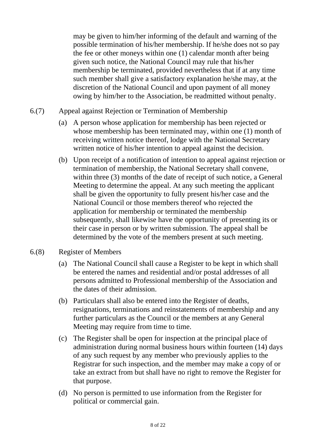may be given to him/her informing of the default and warning of the possible termination of his/her membership. If he/she does not so pay the fee or other moneys within one (1) calendar month after being given such notice, the National Council may rule that his/her membership be terminated, provided nevertheless that if at any time such member shall give a satisfactory explanation he/she may, at the discretion of the National Council and upon payment of all money owing by him/her to the Association, be readmitted without penalty.

- 6.(7) Appeal against Rejection or Termination of Membership
	- (a) A person whose application for membership has been rejected or whose membership has been terminated may, within one (1) month of receiving written notice thereof, lodge with the National Secretary written notice of his/her intention to appeal against the decision.
	- (b) Upon receipt of a notification of intention to appeal against rejection or termination of membership, the National Secretary shall convene, within three (3) months of the date of receipt of such notice, a General Meeting to determine the appeal. At any such meeting the applicant shall be given the opportunity to fully present his/her case and the National Council or those members thereof who rejected the application for membership or terminated the membership subsequently, shall likewise have the opportunity of presenting its or their case in person or by written submission. The appeal shall be determined by the vote of the members present at such meeting.
- 6.(8) Register of Members
	- (a) The National Council shall cause a Register to be kept in which shall be entered the names and residential and/or postal addresses of all persons admitted to Professional membership of the Association and the dates of their admission.
	- (b) Particulars shall also be entered into the Register of deaths, resignations, terminations and reinstatements of membership and any further particulars as the Council or the members at any General Meeting may require from time to time.
	- (c) The Register shall be open for inspection at the principal place of administration during normal business hours within fourteen (14) days of any such request by any member who previously applies to the Registrar for such inspection, and the member may make a copy of or take an extract from but shall have no right to remove the Register for that purpose.
	- (d) No person is permitted to use information from the Register for political or commercial gain.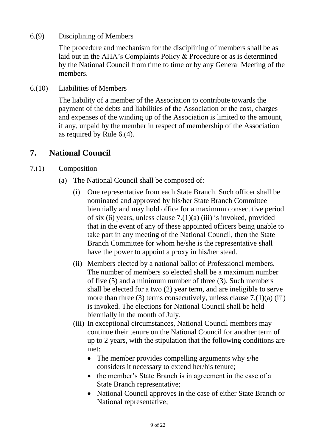6.(9) Disciplining of Members

The procedure and mechanism for the disciplining of members shall be as laid out in the AHA's Complaints Policy & Procedure or as is determined by the National Council from time to time or by any General Meeting of the members.

6.(10) Liabilities of Members

The liability of a member of the Association to contribute towards the payment of the debts and liabilities of the Association or the cost, charges and expenses of the winding up of the Association is limited to the amount, if any, unpaid by the member in respect of membership of the Association as required by Rule 6.(4).

#### **7. National Council**

- 7.(1) Composition
	- (a) The National Council shall be composed of:
		- (i) One representative from each State Branch. Such officer shall be nominated and approved by his/her State Branch Committee biennially and may hold office for a maximum consecutive period of six  $(6)$  years, unless clause  $7(1)(a)$  (iii) is invoked, provided that in the event of any of these appointed officers being unable to take part in any meeting of the National Council, then the State Branch Committee for whom he/she is the representative shall have the power to appoint a proxy in his/her stead.
		- (ii) Members elected by a national ballot of Professional members. The number of members so elected shall be a maximum number of five (5) and a minimum number of three (3). Such members shall be elected for a two (2) year term, and are ineligible to serve more than three  $(3)$  terms consecutively, unless clause  $7.(1)(a)$  (iii) is invoked. The elections for National Council shall be held biennially in the month of July.
		- (iii) In exceptional circumstances, National Council members may continue their tenure on the National Council for another term of up to 2 years, with the stipulation that the following conditions are met:
			- The member provides compelling arguments why s/he considers it necessary to extend her/his tenure;
			- the member's State Branch is in agreement in the case of a State Branch representative;
			- National Council approves in the case of either State Branch or National representative;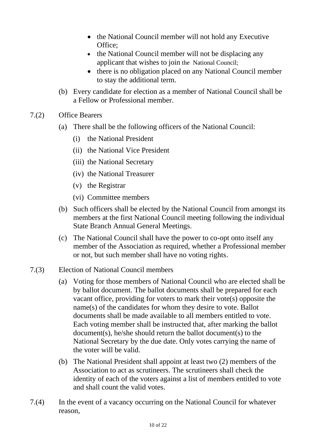- the National Council member will not hold any Executive Office;
- the National Council member will not be displacing any applicant that wishes to join the National Council;
- there is no obligation placed on any National Council member to stay the additional term.
- (b) Every candidate for election as a member of National Council shall be a Fellow or Professional member.
- 7.(2) Office Bearers
	- (a) There shall be the following officers of the National Council:
		- (i) the National President
		- (ii) the National Vice President
		- (iii) the National Secretary
		- (iv) the National Treasurer
		- (v) the Registrar
		- (vi) Committee members
	- (b) Such officers shall be elected by the National Council from amongst its members at the first National Council meeting following the individual State Branch Annual General Meetings.
	- (c) The National Council shall have the power to co-opt onto itself any member of the Association as required, whether a Professional member or not, but such member shall have no voting rights.
- 7.(3) Election of National Council members
	- (a) Voting for those members of National Council who are elected shall be by ballot document. The ballot documents shall be prepared for each vacant office, providing for voters to mark their vote(s) opposite the name(s) of the candidates for whom they desire to vote. Ballot documents shall be made available to all members entitled to vote. Each voting member shall be instructed that, after marking the ballot document(s), he/she should return the ballot document(s) to the National Secretary by the due date. Only votes carrying the name of the voter will be valid.
	- (b) The National President shall appoint at least two (2) members of the Association to act as scrutineers. The scrutineers shall check the identity of each of the voters against a list of members entitled to vote and shall count the valid votes.
- 7.(4) In the event of a vacancy occurring on the National Council for whatever reason,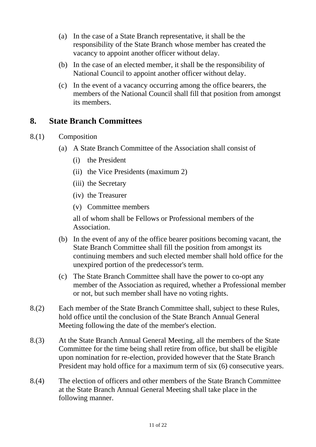- (a) In the case of a State Branch representative, it shall be the responsibility of the State Branch whose member has created the vacancy to appoint another officer without delay.
- (b) In the case of an elected member, it shall be the responsibility of National Council to appoint another officer without delay.
- (c) In the event of a vacancy occurring among the office bearers, the members of the National Council shall fill that position from amongst its members.

# **8. State Branch Committees**

- 8.(1) Composition
	- (a) A State Branch Committee of the Association shall consist of
		- (i) the President
		- (ii) the Vice Presidents (maximum 2)
		- (iii) the Secretary
		- (iv) the Treasurer
		- (v) Committee members

all of whom shall be Fellows or Professional members of the Association.

- (b) In the event of any of the office bearer positions becoming vacant, the State Branch Committee shall fill the position from amongst its continuing members and such elected member shall hold office for the unexpired portion of the predecessor's term.
- (c) The State Branch Committee shall have the power to co-opt any member of the Association as required, whether a Professional member or not, but such member shall have no voting rights.
- 8.(2) Each member of the State Branch Committee shall, subject to these Rules, hold office until the conclusion of the State Branch Annual General Meeting following the date of the member's election.
- 8.(3) At the State Branch Annual General Meeting, all the members of the State Committee for the time being shall retire from office, but shall be eligible upon nomination for re-election, provided however that the State Branch President may hold office for a maximum term of six (6) consecutive years.
- 8.(4) The election of officers and other members of the State Branch Committee at the State Branch Annual General Meeting shall take place in the following manner.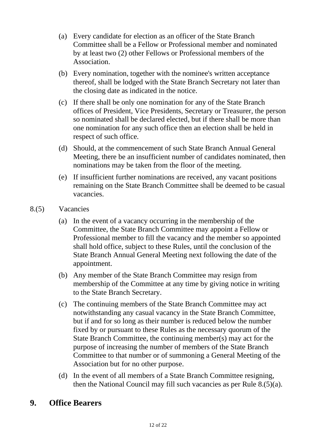- (a) Every candidate for election as an officer of the State Branch Committee shall be a Fellow or Professional member and nominated by at least two (2) other Fellows or Professional members of the Association.
- (b) Every nomination, together with the nominee's written acceptance thereof, shall be lodged with the State Branch Secretary not later than the closing date as indicated in the notice.
- (c) If there shall be only one nomination for any of the State Branch offices of President, Vice Presidents, Secretary or Treasurer, the person so nominated shall be declared elected, but if there shall be more than one nomination for any such office then an election shall be held in respect of such office.
- (d) Should, at the commencement of such State Branch Annual General Meeting, there be an insufficient number of candidates nominated, then nominations may be taken from the floor of the meeting.
- (e) If insufficient further nominations are received, any vacant positions remaining on the State Branch Committee shall be deemed to be casual vacancies.
- 8.(5) Vacancies
	- (a) In the event of a vacancy occurring in the membership of the Committee, the State Branch Committee may appoint a Fellow or Professional member to fill the vacancy and the member so appointed shall hold office, subject to these Rules, until the conclusion of the State Branch Annual General Meeting next following the date of the appointment.
	- (b) Any member of the State Branch Committee may resign from membership of the Committee at any time by giving notice in writing to the State Branch Secretary.
	- (c) The continuing members of the State Branch Committee may act notwithstanding any casual vacancy in the State Branch Committee, but if and for so long as their number is reduced below the number fixed by or pursuant to these Rules as the necessary quorum of the State Branch Committee, the continuing member(s) may act for the purpose of increasing the number of members of the State Branch Committee to that number or of summoning a General Meeting of the Association but for no other purpose.
	- (d) In the event of all members of a State Branch Committee resigning, then the National Council may fill such vacancies as per Rule 8.(5)(a).

# **9. Office Bearers**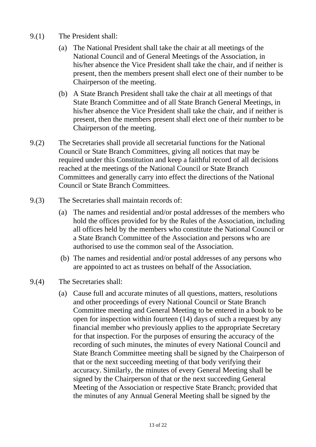- 9.(1) The President shall:
	- (a) The National President shall take the chair at all meetings of the National Council and of General Meetings of the Association, in his/her absence the Vice President shall take the chair, and if neither is present, then the members present shall elect one of their number to be Chairperson of the meeting.
	- (b) A State Branch President shall take the chair at all meetings of that State Branch Committee and of all State Branch General Meetings, in his/her absence the Vice President shall take the chair, and if neither is present, then the members present shall elect one of their number to be Chairperson of the meeting.
- 9.(2) The Secretaries shall provide all secretarial functions for the National Council or State Branch Committees, giving all notices that may be required under this Constitution and keep a faithful record of all decisions reached at the meetings of the National Council or State Branch Committees and generally carry into effect the directions of the National Council or State Branch Committees.
- 9.(3) The Secretaries shall maintain records of:
	- (a) The names and residential and/or postal addresses of the members who hold the offices provided for by the Rules of the Association, including all offices held by the members who constitute the National Council or a State Branch Committee of the Association and persons who are authorised to use the common seal of the Association.
	- (b) The names and residential and/or postal addresses of any persons who are appointed to act as trustees on behalf of the Association.
- 9.(4) The Secretaries shall:
	- (a) Cause full and accurate minutes of all questions, matters, resolutions and other proceedings of every National Council or State Branch Committee meeting and General Meeting to be entered in a book to be open for inspection within fourteen (14) days of such a request by any financial member who previously applies to the appropriate Secretary for that inspection. For the purposes of ensuring the accuracy of the recording of such minutes, the minutes of every National Council and State Branch Committee meeting shall be signed by the Chairperson of that or the next succeeding meeting of that body verifying their accuracy. Similarly, the minutes of every General Meeting shall be signed by the Chairperson of that or the next succeeding General Meeting of the Association or respective State Branch; provided that the minutes of any Annual General Meeting shall be signed by the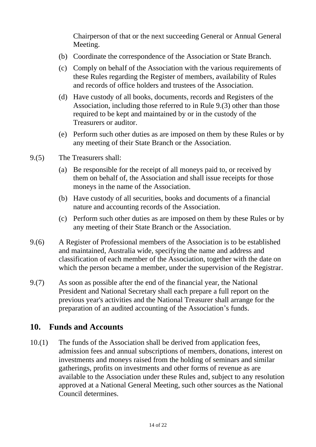Chairperson of that or the next succeeding General or Annual General Meeting.

- (b) Coordinate the correspondence of the Association or State Branch.
- (c) Comply on behalf of the Association with the various requirements of these Rules regarding the Register of members, availability of Rules and records of office holders and trustees of the Association.
- (d) Have custody of all books, documents, records and Registers of the Association, including those referred to in Rule 9.(3) other than those required to be kept and maintained by or in the custody of the Treasurers or auditor.
- (e) Perform such other duties as are imposed on them by these Rules or by any meeting of their State Branch or the Association.
- 9.(5) The Treasurers shall:
	- (a) Be responsible for the receipt of all moneys paid to, or received by them on behalf of, the Association and shall issue receipts for those moneys in the name of the Association.
	- (b) Have custody of all securities, books and documents of a financial nature and accounting records of the Association.
	- (c) Perform such other duties as are imposed on them by these Rules or by any meeting of their State Branch or the Association.
- 9.(6) A Register of Professional members of the Association is to be established and maintained, Australia wide, specifying the name and address and classification of each member of the Association, together with the date on which the person became a member, under the supervision of the Registrar.
- 9.(7) As soon as possible after the end of the financial year, the National President and National Secretary shall each prepare a full report on the previous year's activities and the National Treasurer shall arrange for the preparation of an audited accounting of the Association's funds.

#### **10. Funds and Accounts**

10.(1) The funds of the Association shall be derived from application fees, admission fees and annual subscriptions of members, donations, interest on investments and moneys raised from the holding of seminars and similar gatherings, profits on investments and other forms of revenue as are available to the Association under these Rules and, subject to any resolution approved at a National General Meeting, such other sources as the National Council determines.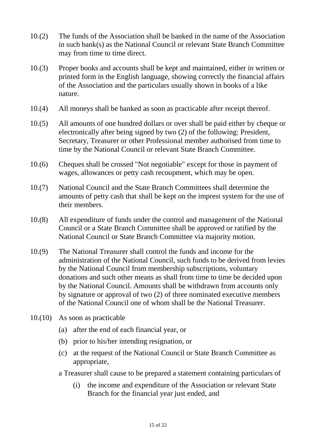- 10.(2) The funds of the Association shall be banked in the name of the Association in such bank(s) as the National Council or relevant State Branch Committee may from time to time direct.
- 10.(3) Proper books and accounts shall be kept and maintained, either in written or printed form in the English language, showing correctly the financial affairs of the Association and the particulars usually shown in books of a like nature.
- 10.(4) All moneys shall be banked as soon as practicable after receipt thereof.
- 10.(5) All amounts of one hundred dollars or over shall be paid either by cheque or electronically after being signed by two (2) of the following: President, Secretary, Treasurer or other Professional member authorised from time to time by the National Council or relevant State Branch Committee.
- 10.(6) Cheques shall be crossed "Not negotiable" except for those in payment of wages, allowances or petty cash recoupment, which may be open.
- 10.(7) National Council and the State Branch Committees shall determine the amounts of petty cash that shall be kept on the imprest system for the use of their members.
- 10.(8) All expenditure of funds under the control and management of the National Council or a State Branch Committee shall be approved or ratified by the National Council or State Branch Committee via majority motion.
- 10.(9) The National Treasurer shall control the funds and income for the administration of the National Council, such funds to be derived from levies by the National Council from membership subscriptions, voluntary donations and such other means as shall from time to time be decided upon by the National Council. Amounts shall be withdrawn from accounts only by signature or approval of two (2) of three nominated executive members of the National Council one of whom shall be the National Treasurer.
- 10.(10) As soon as practicable
	- (a) after the end of each financial year, or
	- (b) prior to his/her intending resignation, or
	- (c) at the request of the National Council or State Branch Committee as appropriate,
	- a Treasurer shall cause to be prepared a statement containing particulars of
		- (i) the income and expenditure of the Association or relevant State Branch for the financial year just ended, and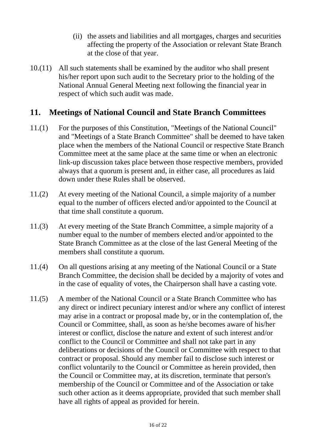- (ii) the assets and liabilities and all mortgages, charges and securities affecting the property of the Association or relevant State Branch at the close of that year.
- 10.(11) All such statements shall be examined by the auditor who shall present his/her report upon such audit to the Secretary prior to the holding of the National Annual General Meeting next following the financial year in respect of which such audit was made.

#### **11. Meetings of National Council and State Branch Committees**

- 11.(1) For the purposes of this Constitution, "Meetings of the National Council" and "Meetings of a State Branch Committee" shall be deemed to have taken place when the members of the National Council or respective State Branch Committee meet at the same place at the same time or when an electronic link-up discussion takes place between those respective members, provided always that a quorum is present and, in either case, all procedures as laid down under these Rules shall be observed.
- 11.(2) At every meeting of the National Council, a simple majority of a number equal to the number of officers elected and/or appointed to the Council at that time shall constitute a quorum.
- 11.(3) At every meeting of the State Branch Committee, a simple majority of a number equal to the number of members elected and/or appointed to the State Branch Committee as at the close of the last General Meeting of the members shall constitute a quorum.
- 11.(4) On all questions arising at any meeting of the National Council or a State Branch Committee, the decision shall be decided by a majority of votes and in the case of equality of votes, the Chairperson shall have a casting vote.
- 11.(5) A member of the National Council or a State Branch Committee who has any direct or indirect pecuniary interest and/or where any conflict of interest may arise in a contract or proposal made by, or in the contemplation of, the Council or Committee, shall, as soon as he/she becomes aware of his/her interest or conflict, disclose the nature and extent of such interest and/or conflict to the Council or Committee and shall not take part in any deliberations or decisions of the Council or Committee with respect to that contract or proposal. Should any member fail to disclose such interest or conflict voluntarily to the Council or Committee as herein provided, then the Council or Committee may, at its discretion, terminate that person's membership of the Council or Committee and of the Association or take such other action as it deems appropriate, provided that such member shall have all rights of appeal as provided for herein.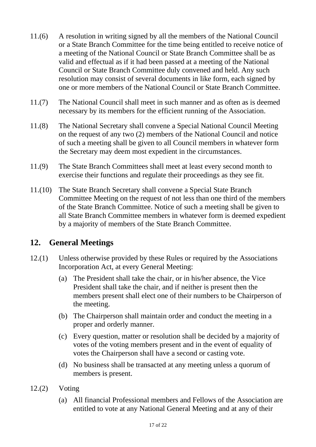- 11.(6) A resolution in writing signed by all the members of the National Council or a State Branch Committee for the time being entitled to receive notice of a meeting of the National Council or State Branch Committee shall be as valid and effectual as if it had been passed at a meeting of the National Council or State Branch Committee duly convened and held. Any such resolution may consist of several documents in like form, each signed by one or more members of the National Council or State Branch Committee.
- 11.(7) The National Council shall meet in such manner and as often as is deemed necessary by its members for the efficient running of the Association.
- 11.(8) The National Secretary shall convene a Special National Council Meeting on the request of any two (2) members of the National Council and notice of such a meeting shall be given to all Council members in whatever form the Secretary may deem most expedient in the circumstances.
- 11.(9) The State Branch Committees shall meet at least every second month to exercise their functions and regulate their proceedings as they see fit.
- 11.(10) The State Branch Secretary shall convene a Special State Branch Committee Meeting on the request of not less than one third of the members of the State Branch Committee. Notice of such a meeting shall be given to all State Branch Committee members in whatever form is deemed expedient by a majority of members of the State Branch Committee.

## **12. General Meetings**

- 12.(1) Unless otherwise provided by these Rules or required by the Associations Incorporation Act, at every General Meeting:
	- (a) The President shall take the chair, or in his/her absence, the Vice President shall take the chair, and if neither is present then the members present shall elect one of their numbers to be Chairperson of the meeting.
	- (b) The Chairperson shall maintain order and conduct the meeting in a proper and orderly manner.
	- (c) Every question, matter or resolution shall be decided by a majority of votes of the voting members present and in the event of equality of votes the Chairperson shall have a second or casting vote.
	- (d) No business shall be transacted at any meeting unless a quorum of members is present.
- 12.(2) Voting
	- (a) All financial Professional members and Fellows of the Association are entitled to vote at any National General Meeting and at any of their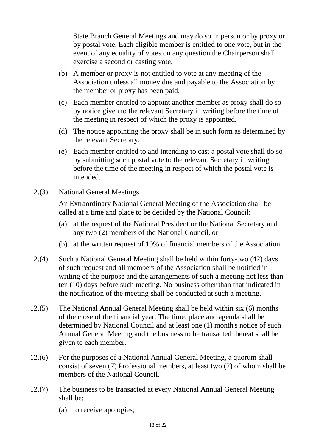State Branch General Meetings and may do so in person or by proxy or by postal vote. Each eligible member is entitled to one vote, but in the event of any equality of votes on any question the Chairperson shall exercise a second or casting vote.

- (b) A member or proxy is not entitled to vote at any meeting of the Association unless all money due and payable to the Association by the member or proxy has been paid.
- (c) Each member entitled to appoint another member as proxy shall do so by notice given to the relevant Secretary in writing before the time of the meeting in respect of which the proxy is appointed.
- (d) The notice appointing the proxy shall be in such form as determined by the relevant Secretary.
- (e) Each member entitled to and intending to cast a postal vote shall do so by submitting such postal vote to the relevant Secretary in writing before the time of the meeting in respect of which the postal vote is intended.
- 12.(3) National General Meetings

An Extraordinary National General Meeting of the Association shall be called at a time and place to be decided by the National Council:

- (a) at the request of the National President or the National Secretary and any two (2) members of the National Council, or
- (b) at the written request of 10% of financial members of the Association.
- 12.(4) Such a National General Meeting shall be held within forty-two (42) days of such request and all members of the Association shall be notified in writing of the purpose and the arrangements of such a meeting not less than ten (10) days before such meeting. No business other than that indicated in the notification of the meeting shall be conducted at such a meeting.
- 12.(5) The National Annual General Meeting shall be held within six (6) months of the close of the financial year. The time, place and agenda shall be determined by National Council and at least one (1) month's notice of such Annual General Meeting and the business to be transacted thereat shall be given to each member.
- 12.(6) For the purposes of a National Annual General Meeting, a quorum shall consist of seven (7) Professional members, at least two (2) of whom shall be members of the National Council.
- 12.(7) The business to be transacted at every National Annual General Meeting shall be:
	- (a) to receive apologies;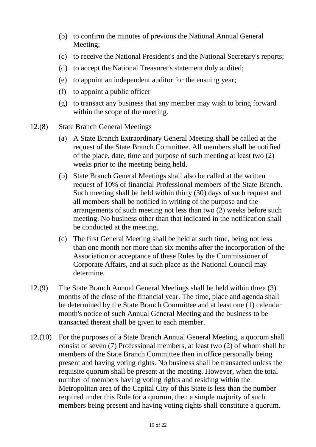- (b) to confirm the minutes of previous the National Annual General Meeting;
- (c) to receive the National President's and the National Secretary's reports;
- (d) to accept the National Treasurer's statement duly audited;
- (e) to appoint an independent auditor for the ensuing year;
- (f) to appoint a public officer
- (g) to transact any business that any member may wish to bring forward within the scope of the meeting.
- 12.(8) State Branch General Meetings
	- (a) A State Branch Extraordinary General Meeting shall be called at the request of the State Branch Committee. All members shall be notified of the place, date, time and purpose of such meeting at least two (2) weeks prior to the meeting being held.
	- (b) State Branch General Meetings shall also be called at the written request of 10% of financial Professional members of the State Branch. Such meeting shall be held within thirty (30) days of such request and all members shall be notified in writing of the purpose and the arrangements of such meeting not less than two (2) weeks before such meeting. No business other than that indicated in the notification shall be conducted at the meeting.
	- (c) The first General Meeting shall be held at such time, being not less than one month nor more than six months after the incorporation of the Association or acceptance of these Rules by the Commissioner of Corporate Affairs, and at such place as the National Council may determine.
- 12.(9) The State Branch Annual General Meetings shall be held within three (3) months of the close of the financial year. The time, place and agenda shall be determined by the State Branch Committee and at least one (1) calendar month's notice of such Annual General Meeting and the business to be transacted thereat shall be given to each member.
- 12.(10) For the purposes of a State Branch Annual General Meeting, a quorum shall consist of seven (7) Professional members, at least two (2) of whom shall be members of the State Branch Committee then in office personally being present and having voting rights. No business shall be transacted unless the requisite quorum shall be present at the meeting. However, when the total number of members having voting rights and residing within the Metropolitan area of the Capital City of this State is less than the number required under this Rule for a quorum, then a simple majority of such members being present and having voting rights shall constitute a quorum.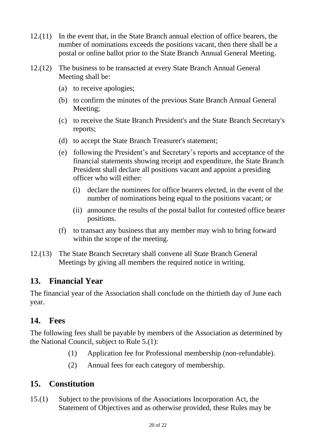- 12.(11) In the event that, in the State Branch annual election of office bearers, the number of nominations exceeds the positions vacant, then there shall be a postal or online ballot prior to the State Branch Annual General Meeting.
- 12.(12) The business to be transacted at every State Branch Annual General Meeting shall be:
	- (a) to receive apologies;
	- (b) to confirm the minutes of the previous State Branch Annual General Meeting;
	- (c) to receive the State Branch President's and the State Branch Secretary's reports;
	- (d) to accept the State Branch Treasurer's statement;
	- (e) following the President's and Secretary's reports and acceptance of the financial statements showing receipt and expenditure, the State Branch President shall declare all positions vacant and appoint a presiding officer who will either:
		- (i) declare the nominees for office bearers elected, in the event of the number of nominations being equal to the positions vacant; or
		- (ii) announce the results of the postal ballot for contested office bearer positions.
	- (f) to transact any business that any member may wish to bring forward within the scope of the meeting.
- 12.(13) The State Branch Secretary shall convene all State Branch General Meetings by giving all members the required notice in writing.

## **13. Financial Year**

The financial year of the Association shall conclude on the thirtieth day of June each year.

#### **14. Fees**

The following fees shall be payable by members of the Association as determined by the National Council, subject to Rule 5.(1):

- (1) Application fee for Professional membership (non-refundable).
- (2) Annual fees for each category of membership.

## **15. Constitution**

15.(1) Subject to the provisions of the Associations Incorporation Act, the Statement of Objectives and as otherwise provided, these Rules may be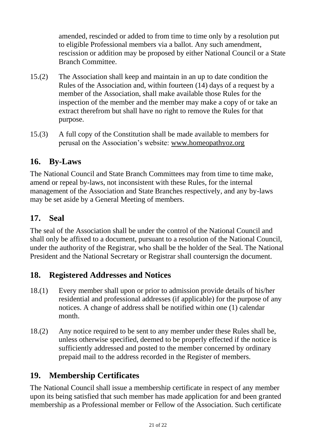amended, rescinded or added to from time to time only by a resolution put to eligible Professional members via a ballot. Any such amendment, rescission or addition may be proposed by either National Council or a State Branch Committee.

- 15.(2) The Association shall keep and maintain in an up to date condition the Rules of the Association and, within fourteen (14) days of a request by a member of the Association, shall make available those Rules for the inspection of the member and the member may make a copy of or take an extract therefrom but shall have no right to remove the Rules for that purpose.
- 15.(3) A full copy of the Constitution shall be made available to members for perusal on the Association's website: [www.homeopathyoz.org](http://www.homeopathyoz.org/)

#### **16. By-Laws**

The National Council and State Branch Committees may from time to time make, amend or repeal by-laws, not inconsistent with these Rules, for the internal management of the Association and State Branches respectively, and any by-laws may be set aside by a General Meeting of members.

# **17. Seal**

The seal of the Association shall be under the control of the National Council and shall only be affixed to a document, pursuant to a resolution of the National Council, under the authority of the Registrar, who shall be the holder of the Seal. The National President and the National Secretary or Registrar shall countersign the document.

## **18. Registered Addresses and Notices**

- 18.(1) Every member shall upon or prior to admission provide details of his/her residential and professional addresses (if applicable) for the purpose of any notices. A change of address shall be notified within one (1) calendar month.
- 18.(2) Any notice required to be sent to any member under these Rules shall be, unless otherwise specified, deemed to be properly effected if the notice is sufficiently addressed and posted to the member concerned by ordinary prepaid mail to the address recorded in the Register of members.

# **19. Membership Certificates**

The National Council shall issue a membership certificate in respect of any member upon its being satisfied that such member has made application for and been granted membership as a Professional member or Fellow of the Association. Such certificate